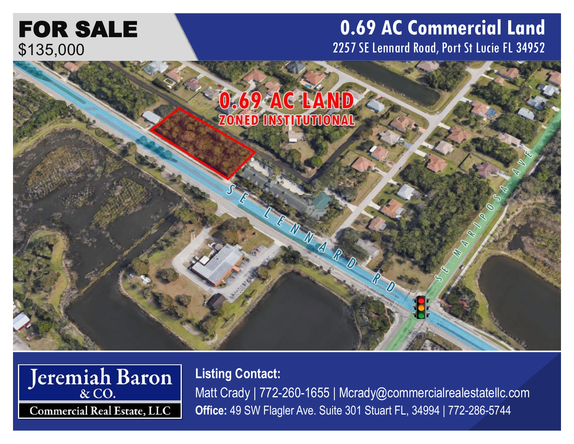## FOR SALE \$135,000

## **0.69 AC Commercial Land** 2257 SE Lennard Road, Port St Lucie FL 34952





**Listing Contact:** Matt Crady | 772-260-1655 | Mcrady@commercialrealestatellc.com **Office:** 49 SW Flagler Ave. Suite 301 Stuart FL, 34994 | 772-286-5744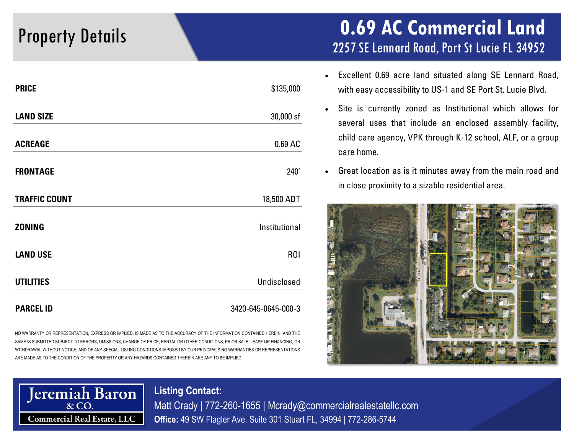| <b>PRICE</b>         | \$135,000           |
|----------------------|---------------------|
| <b>LAND SIZE</b>     | 30,000 sf           |
| <b>ACREAGE</b>       | 0.69 AC             |
| <b>FRONTAGE</b>      | 240'                |
| <b>TRAFFIC COUNT</b> | 18,500 ADT          |
| <b>ZONING</b>        | Institutional       |
| <b>LAND USE</b>      | R <sub>O</sub> I    |
| <b>UTILITIES</b>     | Undisclosed         |
| <b>PARCEL ID</b>     | 3420-645-0645-000-3 |

NO WARRANTY OR REPRESENTATION, EXPRESS OR IMPLIED, IS MADE AS TO THE ACCURACY OF THE INFORMATION CONTAINED HEREIN, AND THE SAME IS SUBMITTED SUBJECT TO ERRORS, OMISSIONS, CHANGE OF PRICE, RENTAL OR OTHER CONDITIONS, PRIOR SALE, LEASE OR FINANCING, OR WITHDRAWAL WITHOUT NOTICE, AND OF ANY SPECIAL LISTING CONDITIONS IMPOSED BY OUR PRINCIPALS NO WARRANTIES OR REPRESENTATIONS ARE MADE AS TO THE CONDITION OF THE PROPERTY OR ANY HAZARDS CONTAINED THEREIN ARE ANY TO BE IMPLIED.

### Property Details **0.69 AC Commercial Land** 2257 SE Lennard Road, Port St Lucie FL 34952

- Excellent 0.69 acre land situated along SE Lennard Road, with easy accessibility to US-1 and SE Port St. Lucie Blvd.
- Site is currently zoned as Institutional which allows for several uses that include an enclosed assembly facility, child care agency, VPK through K-12 school, ALF, or a group care home.
- Great location as is it minutes away from the main road and in close proximity to a sizable residential area.





**Listing Contact:** Matt Crady | 772-260-1655 | Mcrady@commercialrealestatellc.com **Office:** 49 SW Flagler Ave. Suite 301 Stuart FL, 34994 | 772-286-5744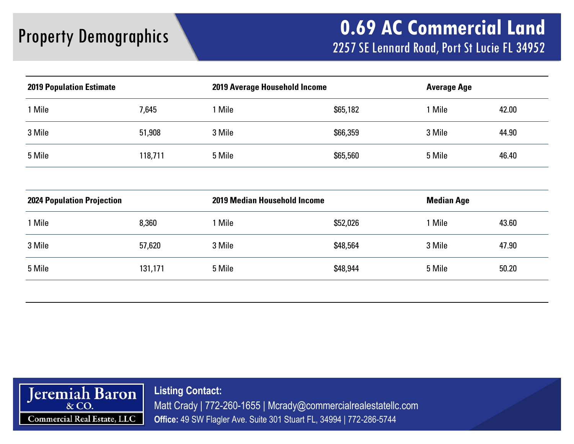| <b>2019 Population Estimate</b> |         | <b>2019 Average Household Income</b> |          | <b>Average Age</b> |       |
|---------------------------------|---------|--------------------------------------|----------|--------------------|-------|
| 1 Mile                          | 7,645   | Mile                                 | \$65,182 | Mile               | 42.00 |
| 3 Mile                          | 51,908  | 3 Mile                               | \$66,359 | 3 Mile             | 44.90 |
| 5 Mile                          | 118,711 | 5 Mile                               | \$65,560 | 5 Mile             | 46.40 |

| <b>2024 Population Projection</b> |         | <b>2019 Median Household Income</b> |          | <b>Median Age</b> |       |  |
|-----------------------------------|---------|-------------------------------------|----------|-------------------|-------|--|
| Mile                              | 8,360   | Mile                                | \$52,026 | Mile              | 43.60 |  |
| 3 Mile                            | 57,620  | 3 Mile                              | \$48,564 | 3 Mile            | 47.90 |  |
| 5 Mile                            | 131,171 | 5 Mile                              | \$48,944 | 5 Mile            | 50.20 |  |
|                                   |         |                                     |          |                   |       |  |



**Listing Contact:** Matt Crady | 772-260-1655 | Mcrady@commercialrealestatellc.com **Office:** 49 SW Flagler Ave. Suite 301 Stuart FL, 34994 | 772-286-5744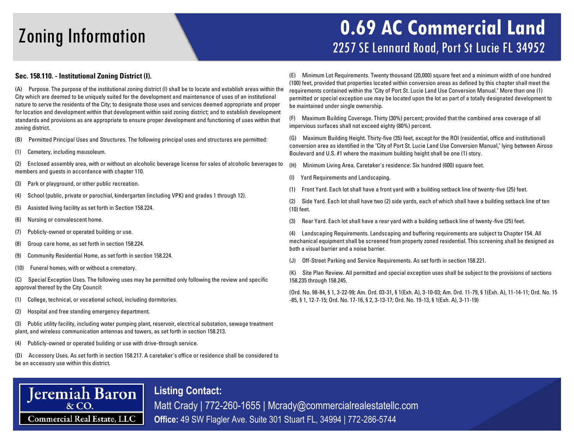### Zoning Information **0.69 AC Commercial Land** 2257 SE Lennard Road, Port St Lucie FL 34952

### **Sec. 158.110. - Institutional Zoning District (I).**

(A) Purpose. The purpose of the institutional zoning district (I) shall be to locate and establish areas within the City which are deemed to be uniquely suited for the development and maintenance of uses of an institutional nature to serve the residents of the City; to designate those uses and services deemed appropriate and proper for location and development within that development within said zoning district; and to establish development standards and provisions as are appropriate to ensure proper development and functioning of uses within that zoning district.

- (B) Permitted Principal Uses and Structures. The following principal uses and structures are permitted:
- (1) Cemetery, including mausoleum.

(2) Enclosed assembly area, with or without an alcoholic beverage license for sales of alcoholic beverages to members and guests in accordance with chapter 110.

- (3) Park or playground, or other public recreation.
- (4) School (public, private or parochial, kindergarten (including VPK) and grades 1 through 12).
- (5) Assisted living facility as set forth in Section 158.224.
- (6) Nursing or convalescent home.
- (7) Publicly-owned or operated building or use.
- (8) Group care home, as set forth in section 158.224.
- (9) Community Residential Home, as set forth in section 158.224.
- (10) Funeral homes, with or without a crematory.

(C) Special Exception Uses. The following uses may be permitted only following the review and specific approval thereof by the City Council:

- (1) College, technical, or vocational school, including dormitories.
- (2) Hospital and free standing emergency department.

(3) Public utility facility, including water pumping plant, reservoir, electrical substation, sewage treatment plant, and wireless communication antennas and towers, as set forth in section 158.213.

(4) Publicly-owned or operated building or use with drive-through service.

(D) Accessory Uses. As set forth in section 158.217. A caretaker's office or residence shall be considered to be an accessory use within this district.

**Listing Contact:**

(E) Minimum Lot Requirements. Twenty thousand (20,000) square feet and a minimum width of one hundred (100) feet, provided that properties located within conversion areas as defined by this chapter shall meet the requirements contained within the "City of Port St. Lucie Land Use Conversion Manual." More than one (1) permitted or special exception use may be located upon the lot as part of a totally designated development to be maintained under single ownership.

(F) Maximum Building Coverage. Thirty (30%) percent; provided that the combined area coverage of all impervious surfaces shall not exceed eighty (80%) percent.

(G) Maximum Building Height. Thirty-five (35) feet, except for the ROI (residential, office and institutional) conversion area as identified in the "City of Port St. Lucie Land Use Conversion Manual," lying between Airoso Boulevard and U.S. #1 where the maximum building height shall be one (1) story.

- (H) Minimum Living Area. Caretaker's residence: Six hundred (600) square feet.
- (I) Yard Requirements and Landscaping.
- (1) Front Yard. Each lot shall have a front yard with a building setback line of twenty-five (25) feet.

(2) Side Yard. Each lot shall have two (2) side yards, each of which shall have a building setback line of ten (10) feet.

(3) Rear Yard. Each lot shall have a rear yard with a building setback line of twenty-five (25) feet.

(4) Landscaping Requirements. Landscaping and buffering requirements are subject to Chapter 154. All mechanical equipment shall be screened from property zoned residential. This screening shall be designed as both a visual barrier and a noise barrier.

(J) Off-Street Parking and Service Requirements. As set forth in section 158.221.

(K) Site Plan Review. All permitted and special exception uses shall be subject to the provisions of sections 158.235 through 158.245.

(Ord. No. 98-84, § 1, 3-22-99; Am. Ord. 03-31, § 1(Exh. A), 3-10-03; Am. Ord. 11-79, § 1(Exh. A), 11-14-11; Ord. No. 15 -85, § 1, 12-7-15; Ord. No. 17-16, § 2, 3-13-17; Ord. No. 19-13, § 1(Exh. A), 3-11-19)

# **Jeremiah Baron Commercial Real Estate, LLC**

Matt Crady | 772-260-1655 | Mcrady@commercialrealestatellc.com **Office:** 49 SW Flagler Ave. Suite 301 Stuart FL, 34994 | 772-286-5744